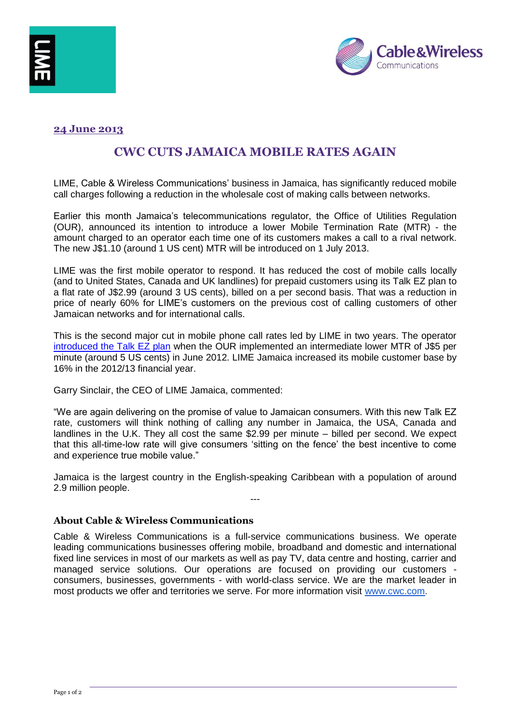



## **24 June 2013**

# **CWC CUTS JAMAICA MOBILE RATES AGAIN**

LIME, Cable & Wireless Communications' business in Jamaica, has significantly reduced mobile call charges following a reduction in the wholesale cost of making calls between networks.

Earlier this month Jamaica's telecommunications regulator, the Office of Utilities Regulation (OUR), announced its intention to introduce a lower Mobile Termination Rate (MTR) - the amount charged to an operator each time one of its customers makes a call to a rival network. The new J\$1.10 (around 1 US cent) MTR will be introduced on 1 July 2013.

LIME was the first mobile operator to respond. It has reduced the cost of mobile calls locally (and to United States, Canada and UK landlines) for prepaid customers using its Talk EZ plan to a flat rate of J\$2.99 (around 3 US cents), billed on a per second basis. That was a reduction in price of nearly 60% for LIME's customers on the previous cost of calling customers of other Jamaican networks and for international calls.

This is the second major cut in mobile phone call rates led by LIME in two years. The operator [introduced the Talk EZ plan](http://www.cwc.com/live/news-and-media/press-releases/cwc-reduces-jamaica-mobile-rates.html?searched=Jamaica&advsearch=oneword&highlight=ajaxSearch_highlight+ajaxSearch_highlight1) when the OUR implemented an intermediate lower MTR of J\$5 per minute (around 5 US cents) in June 2012. LIME Jamaica increased its mobile customer base by 16% in the 2012/13 financial year.

Garry Sinclair, the CEO of LIME Jamaica, commented:

"We are again delivering on the promise of value to Jamaican consumers. With this new Talk EZ rate, customers will think nothing of calling any number in Jamaica, the USA, Canada and landlines in the U.K. They all cost the same \$2.99 per minute – billed per second. We expect that this all-time-low rate will give consumers 'sitting on the fence' the best incentive to come and experience true mobile value."

Jamaica is the largest country in the English-speaking Caribbean with a population of around 2.9 million people. ---

#### **About Cable & Wireless Communications**

Cable & Wireless Communications is a full-service communications business. We operate leading communications businesses offering mobile, broadband and domestic and international fixed line services in most of our markets as well as pay TV, data centre and hosting, carrier and managed service solutions. Our operations are focused on providing our customers consumers, businesses, governments - with world-class service. We are the market leader in most products we offer and territories we serve. For more information visit [www.cwc.com.](http://www.cwc.com/)